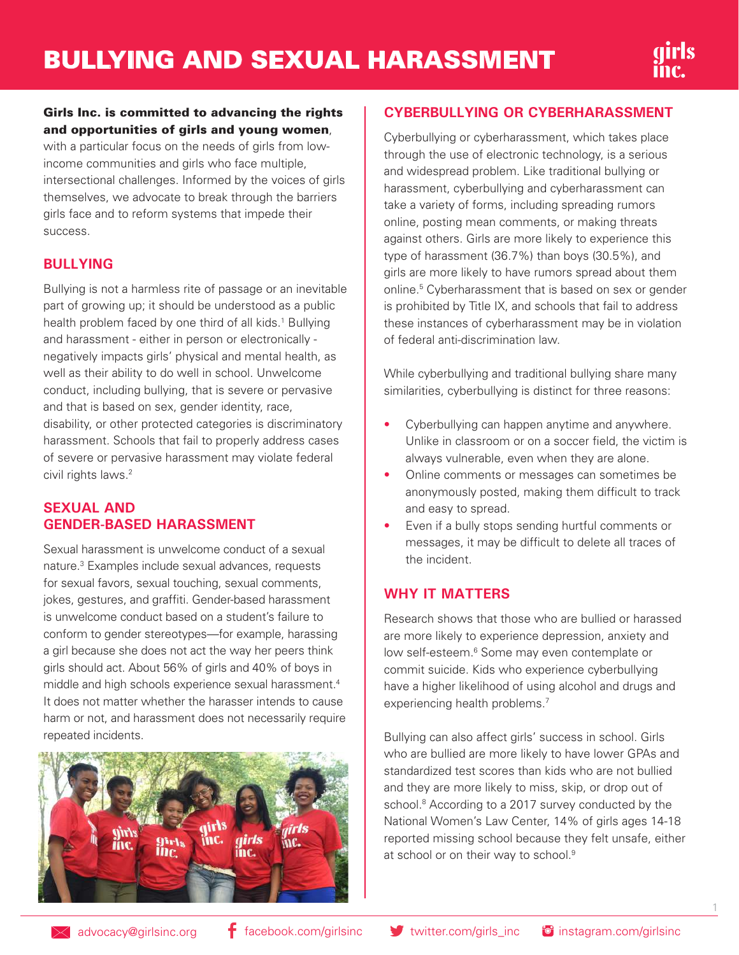

#### Girls Inc. is committed to advancing the rights and opportunities of girls and young women,

with a particular focus on the needs of girls from lowincome communities and girls who face multiple, intersectional challenges. Informed by the voices of girls themselves, we advocate to break through the barriers girls face and to reform systems that impede their success.

#### **BULLYING**

Bullying is not a harmless rite of passage or an inevitable part of growing up; it should be understood as a public health problem faced by one third of all kids.<sup>1</sup> Bullying and harassment - either in person or electronically negatively impacts girls' physical and mental health, as well as their ability to do well in school. Unwelcome conduct, including bullying, that is severe or pervasive and that is based on sex, gender identity, race, disability, or other protected categories is discriminatory harassment. Schools that fail to properly address cases of severe or pervasive harassment may violate federal civil rights laws.<sup>2</sup>

#### **SEXUAL AND GENDER-BASED HARASSMENT**

Sexual harassment is unwelcome conduct of a sexual nature.3 Examples include sexual advances, requests for sexual favors, sexual touching, sexual comments, jokes, gestures, and graffiti. Gender-based harassment is unwelcome conduct based on a student's failure to conform to gender stereotypes—for example, harassing a girl because she does not act the way her peers think girls should act. About 56% of girls and 40% of boys in middle and high schools experience sexual harassment.4 It does not matter whether the harasser intends to cause harm or not, and harassment does not necessarily require repeated incidents.



#### **CYBERBULLYING OR CYBERHARASSMENT**

Cyberbullying or cyberharassment, which takes place through the use of electronic technology, is a serious and widespread problem. Like traditional bullying or harassment, cyberbullying and cyberharassment can take a variety of forms, including spreading rumors online, posting mean comments, or making threats against others. Girls are more likely to experience this type of harassment (36.7%) than boys (30.5%), and girls are more likely to have rumors spread about them online.5 Cyberharassment that is based on sex or gender is prohibited by Title IX, and schools that fail to address these instances of cyberharassment may be in violation of federal anti-discrimination law.

While cyberbullying and traditional bullying share many similarities, cyberbullying is distinct for three reasons:

- Cyberbullying can happen anytime and anywhere. Unlike in classroom or on a soccer field, the victim is always vulnerable, even when they are alone.
- Online comments or messages can sometimes be anonymously posted, making them difficult to track and easy to spread.
- Even if a bully stops sending hurtful comments or messages, it may be difficult to delete all traces of the incident.

#### **WHY IT MATTERS**

Research shows that those who are bullied or harassed are more likely to experience depression, anxiety and low self-esteem.<sup>6</sup> Some may even contemplate or commit suicide. Kids who experience cyberbullying have a higher likelihood of using alcohol and drugs and experiencing health problems.<sup>7</sup>

Bullying can also affect girls' success in school. Girls who are bullied are more likely to have lower GPAs and standardized test scores than kids who are not bullied and they are more likely to miss, skip, or drop out of school.<sup>8</sup> According to a 2017 survey conducted by the National Women's Law Center, 14% of girls ages 14-18 reported missing school because they felt unsafe, either at school or on their way to school.<sup>9</sup>